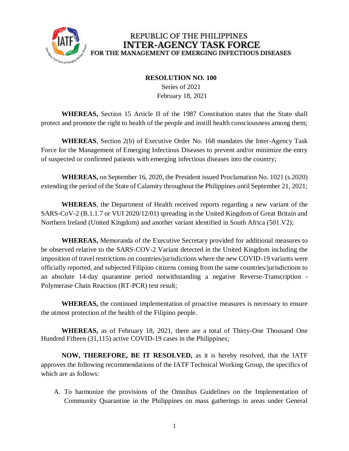

## REPUBLIC OF THE PHILIPPINES **INTER-AGENCY TASK FORCE** FOR THE MANAGEMENT OF EMERGING INFECTIOUS DISEASES

## **RESOLUTION NO. 100**

 Series of 2021 February 18, 2021

**WHEREAS,** Section 15 Article II of the 1987 Constitution states that the State shall protect and promote the right to health of the people and instill health consciousness among them;

**WHEREAS**, Section 2(b) of Executive Order No. 168 mandates the Inter-Agency Task Force for the Management of Emerging Infectious Diseases to prevent and/or minimize the entry of suspected or confirmed patients with emerging infectious diseases into the country;

**WHEREAS,** on September 16, 2020, the President issued Proclamation No. 1021 (s.2020) extending the period of the State of Calamity throughout the Philippines until September 21, 2021;

**WHEREAS**, the Department of Health received reports regarding a new variant of the SARS-CoV-2 (B.1.1.7 or VUI 2020/12/01) spreading in the United Kingdom of Great Britain and Northern Ireland (United Kingdom) and another variant identified in South Africa (501.V2);

**WHEREAS,** Memoranda of the Executive Secretary provided for additional measures to be observed relative to the SARS-COV-2 Variant detected in the United Kingdom including the imposition of travel restrictions on countries/jurisdictions where the new COVID-19 variants were officially reported, and subjected Filipino citizens coming from the same countries/jurisdictions to an absolute 14-day quarantine period notwithstanding a negative Reverse-Transcription - Polymerase Chain Reaction (RT-PCR) test result;

**WHEREAS,** the continued implementation of proactive measures is necessary to ensure the utmost protection of the health of the Filipino people.

**WHEREAS,** as of February 18, 2021, there are a total of Thirty-One Thousand One Hundred Fifteen (31,115) active COVID-19 cases in the Philippines;

**NOW, THEREFORE, BE IT RESOLVED,** as it is hereby resolved, that the IATF approves the following recommendations of the IATF Technical Working Group, the specifics of which are as follows:

A. To harmonize the provisions of the Omnibus Guidelines on the Implementation of Community Quarantine in the Philippines on mass gatherings in areas under General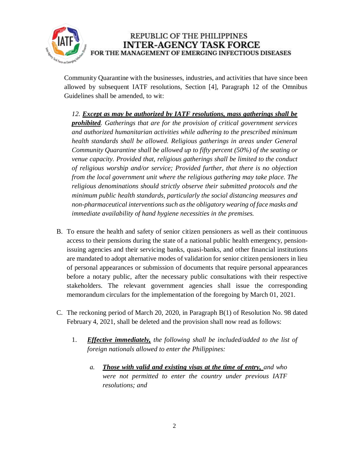

REPUBLIC OF THE PHILIPPINES **INTER-AGENCY TASK FORCE** FOR THE MANAGEMENT OF EMERGING INFECTIOUS DISEASES

Community Quarantine with the businesses, industries, and activities that have since been allowed by subsequent IATF resolutions, Section [4], Paragraph 12 of the Omnibus Guidelines shall be amended, to wit:

*12. Except as may be authorized by IATF resolutions, mass gatherings shall be prohibited. Gatherings that are for the provision of critical government services and authorized humanitarian activities while adhering to the prescribed minimum health standards shall be allowed. Religious gatherings in areas under General Community Quarantine shall be allowed up to fifty percent (50%) of the seating or venue capacity. Provided that, religious gatherings shall be limited to the conduct of religious worship and/or service; Provided further, that there is no objection from the local government unit where the religious gathering may take place. The religious denominations should strictly observe their submitted protocols and the minimum public health standards, particularly the social distancing measures and non-pharmaceutical interventions such as the obligatory wearing of face masks and immediate availability of hand hygiene necessities in the premises.*

- B. To ensure the health and safety of senior citizen pensioners as well as their continuous access to their pensions during the state of a national public health emergency, pensionissuing agencies and their servicing banks, quasi-banks, and other financial institutions are mandated to adopt alternative modes of validation for senior citizen pensioners in lieu of personal appearances or submission of documents that require personal appearances before a notary public, after the necessary public consultations with their respective stakeholders. The relevant government agencies shall issue the corresponding memorandum circulars for the implementation of the foregoing by March 01, 2021.
- C. The reckoning period of March 20, 2020, in Paragraph B(1) of Resolution No. 98 dated February 4, 2021, shall be deleted and the provision shall now read as follows:
	- 1. *Effective immediately, the following shall be included/added to the list of foreign nationals allowed to enter the Philippines:*
		- *a. Those with valid and existing visas at the time of entry, and who were not permitted to enter the country under previous IATF resolutions; and*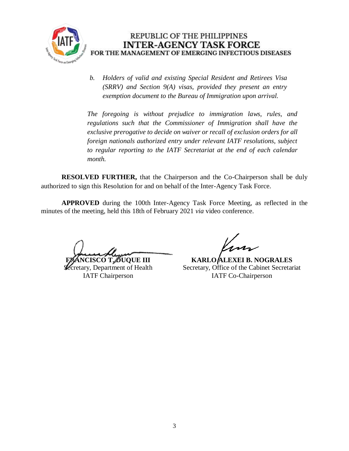

*b. Holders of valid and existing Special Resident and Retirees Visa (SRRV) and Section 9(A) visas, provided they present an entry exemption document to the Bureau of Immigration upon arrival.*

*The foregoing is without prejudice to immigration laws, rules, and regulations such that the Commissioner of Immigration shall have the exclusive prerogative to decide on waiver or recall of exclusion orders for all foreign nationals authorized entry under relevant IATF resolutions, subject to regular reporting to the IATF Secretariat at the end of each calendar month.*

**RESOLVED FURTHER,** that the Chairperson and the Co-Chairperson shall be duly authorized to sign this Resolution for and on behalf of the Inter-Agency Task Force.

**APPROVED** during the 100th Inter-Agency Task Force Meeting, as reflected in the minutes of the meeting, held this 18th of February 2021 *via* video conference.

**ISCO T. DUQUE III** 

cretary, Department of Health IATF Chairperson

**KARLO ALEXEI B. NOGRALES** Secretary, Office of the Cabinet Secretariat IATF Co-Chairperson